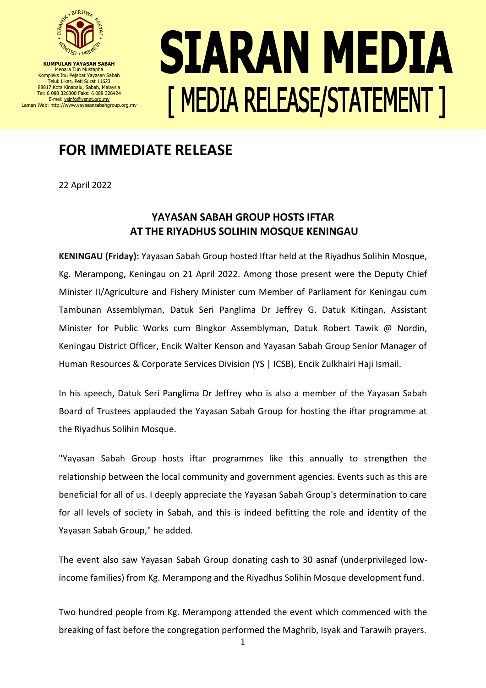

**KUMPULAN YAYASAN SABAH** Menara Tun Mustapha Kompleks Ibu Pejabat Yayasan Sabah Teluk Likas, Peti Surat 11623 88817 Kota Kinabalu, Sabah, Malaysia Tel: 6 088 326300 Faks: 6 088 326424 E-mel[: ysinfo@ysnet.org.my](mailto:ysinfo@ysnet.org.my) Laman Web: http://www.yayasansabahgroup.org.my

## SIARAN MEDIA **[ MEDIA RELEASE/STATEMENT ]**

## **FOR IMMEDIATE RELEASE**

22 April 2022

## **YAYASAN SABAH GROUP HOSTS IFTAR AT THE RIYADHUS SOLIHIN MOSQUE KENINGAU**

**KENINGAU (Friday):** Yayasan Sabah Group hosted Iftar held at the Riyadhus Solihin Mosque, Kg. Merampong, Keningau on 21 April 2022. Among those present were the Deputy Chief Minister II/Agriculture and Fishery Minister cum Member of Parliament for Keningau cum Tambunan Assemblyman, Datuk Seri Panglima Dr Jeffrey G. Datuk Kitingan, Assistant Minister for Public Works cum Bingkor Assemblyman, Datuk Robert Tawik @ Nordin, Keningau District Officer, Encik Walter Kenson and Yayasan Sabah Group Senior Manager of Human Resources & Corporate Services Division (YS | ICSB), Encik Zulkhairi Haji Ismail.

In his speech, Datuk Seri Panglima Dr Jeffrey who is also a member of the Yayasan Sabah Board of Trustees applauded the Yayasan Sabah Group for hosting the iftar programme at the Riyadhus Solihin Mosque.

"Yayasan Sabah Group hosts iftar programmes like this annually to strengthen the relationship between the local community and government agencies. Events such as this are beneficial for all of us. I deeply appreciate the Yayasan Sabah Group's determination to care for all levels of society in Sabah, and this is indeed befitting the role and identity of the Yayasan Sabah Group," he added.

The event also saw Yayasan Sabah Group donating cash to 30 asnaf (underprivileged lowincome families) from Kg. Merampong and the Riyadhus Solihin Mosque development fund.

Two hundred people from Kg. Merampong attended the event which commenced with the breaking of fast before the congregation performed the Maghrib, Isyak and Tarawih prayers.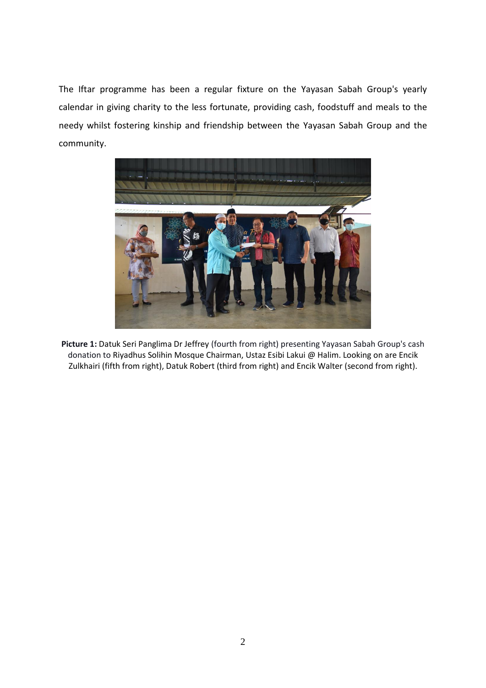The Iftar programme has been a regular fixture on the Yayasan Sabah Group's yearly calendar in giving charity to the less fortunate, providing cash, foodstuff and meals to the needy whilst fostering kinship and friendship between the Yayasan Sabah Group and the community.



**Picture 1:** Datuk Seri Panglima Dr Jeffrey (fourth from right) presenting Yayasan Sabah Group's cash donation to Riyadhus Solihin Mosque Chairman, Ustaz Esibi Lakui @ Halim. Looking on are Encik Zulkhairi (fifth from right), Datuk Robert (third from right) and Encik Walter (second from right).